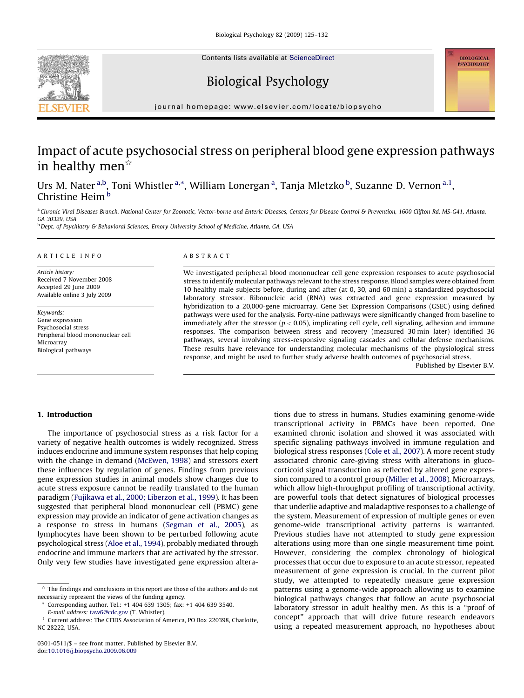Contents lists available at [ScienceDirect](http://www.sciencedirect.com/science/journal/03010511)





## Biological Psychology

journal homepage: www.elsevier.com/locate/biopsycho

## Impact of acute psychosocial stress on peripheral blood gene expression pathways in healthy men<sup> $\star$ </sup>

Urs M. Nater <sup>a,b</sup>, Toni Whistler <sup>a,\*</sup>, William Lonergan <sup>a</sup>, Tanja Mletzko <sup>b</sup>, Suzanne D. Vernon <sup>a, 1</sup>, Christine Heim<sup>b</sup>

a Chronic Viral Diseases Branch, National Center for Zoonotic, Vector-borne and Enteric Diseases, Centers for Disease Control & Prevention, 1600 Clifton Rd, MS-G41, Atlanta, GA 30329, USA

b Dept. of Psychiatry & Behavioral Sciences, Emory University School of Medicine, Atlanta, GA, USA

## ARTICLE INFO

Article history: Received 7 November 2008 Accepted 29 June 2009 Available online 3 July 2009

Keywords: Gene expression Psychosocial stress Peripheral blood mononuclear cell Microarray Biological pathways

## ABSTRACT

We investigated peripheral blood mononuclear cell gene expression responses to acute psychosocial stress to identify molecular pathways relevant to the stress response. Blood samples were obtained from 10 healthy male subjects before, during and after (at 0, 30, and 60 min) a standardized psychosocial laboratory stressor. Ribonucleic acid (RNA) was extracted and gene expression measured by hybridization to a 20,000-gene microarray. Gene Set Expression Comparisons (GSEC) using defined pathways were used for the analysis. Forty-nine pathways were significantly changed from baseline to immediately after the stressor ( $p < 0.05$ ), implicating cell cycle, cell signaling, adhesion and immune responses. The comparison between stress and recovery (measured 30 min later) identified 36 pathways, several involving stress-responsive signaling cascades and cellular defense mechanisms. These results have relevance for understanding molecular mechanisms of the physiological stress response, and might be used to further study adverse health outcomes of psychosocial stress.

Published by Elsevier B.V.

## 1. Introduction

The importance of psychosocial stress as a risk factor for a variety of negative health outcomes is widely recognized. Stress induces endocrine and immune system responses that help coping with the change in demand ([McEwen, 1998\)](#page--1-0) and stressors exert these influences by regulation of genes. Findings from previous gene expression studies in animal models show changes due to acute stress exposure cannot be readily translated to the human paradigm [\(Fujikawa et al., 2000; Liberzon et al., 1999\)](#page--1-0). It has been suggested that peripheral blood mononuclear cell (PBMC) gene expression may provide an indicator of gene activation changes as a response to stress in humans ([Segman et al., 2005\)](#page--1-0), as lymphocytes have been shown to be perturbed following acute psychological stress ([Aloe et al., 1994\)](#page--1-0), probably mediated through endocrine and immune markers that are activated by the stressor. Only very few studies have investigated gene expression altera-

E-mail address: [taw6@cdc.gov](mailto:taw6@cdc.gov) (T. Whistler).

tions due to stress in humans. Studies examining genome-wide transcriptional activity in PBMCs have been reported. One examined chronic isolation and showed it was associated with specific signaling pathways involved in immune regulation and biological stress responses ([Cole et al., 2007\)](#page--1-0). A more recent study associated chronic care-giving stress with alterations in glucocorticoid signal transduction as reflected by altered gene expression compared to a control group ([Miller et al., 2008\)](#page--1-0). Microarrays, which allow high-throughput profiling of transcriptional activity, are powerful tools that detect signatures of biological processes that underlie adaptive and maladaptive responses to a challenge of the system. Measurement of expression of multiple genes or even genome-wide transcriptional activity patterns is warranted. Previous studies have not attempted to study gene expression alterations using more than one single measurement time point. However, considering the complex chronology of biological processes that occur due to exposure to an acute stressor, repeated measurement of gene expression is crucial. In the current pilot study, we attempted to repeatedly measure gene expression patterns using a genome-wide approach allowing us to examine biological pathways changes that follow an acute psychosocial laboratory stressor in adult healthy men. As this is a ''proof of concept'' approach that will drive future research endeavors using a repeated measurement approach, no hypotheses about

 $\star$  The findings and conclusions in this report are those of the authors and do not necessarily represent the views of the funding agency.

Corresponding author. Tel.: +1 404 639 1305; fax: +1 404 639 3540.

Current address: The CFIDS Association of America, PO Box 220398, Charlotte, NC 28222, USA.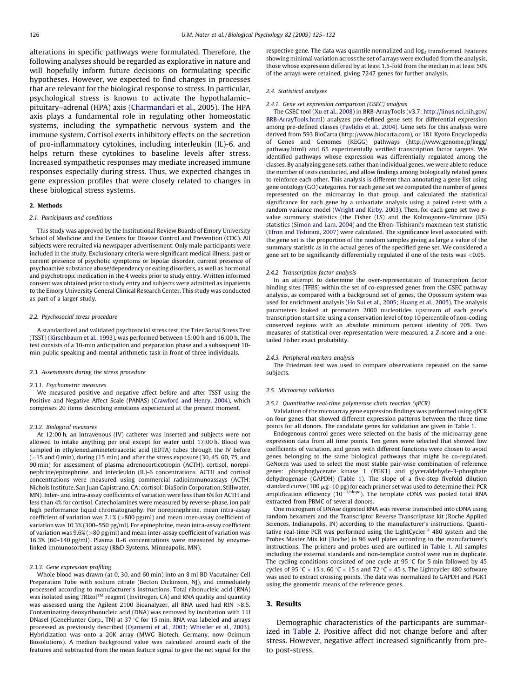alterations in specific pathways were formulated. Therefore, the following analyses should be regarded as explorative in nature and will hopefully inform future decisions on formulating specific hypotheses. However, we expected to find changes in processes that are relevant for the biological response to stress. In particular, psychological stress is known to activate the hypothalamic– pituitary–adrenal (HPA) axis [\(Charmandari et al., 2005](#page--1-0)). The HPA axis plays a fundamental role in regulating other homeostatic systems, including the sympathetic nervous system and the immune system. Cortisol exerts inhibitory effects on the secretion of pro-inflammatory cytokines, including interleukin (IL)-6, and helps return these cytokines to baseline levels after stress. Increased sympathetic responses may mediate increased immune responses especially during stress. Thus, we expected changes in gene expression profiles that were closely related to changes in these biological stress systems.

## 2. Methods

## 2.1. Participants and conditions

This study was approved by the Institutional Review Boards of Emory University School of Medicine and the Centers for Disease Control and Prevention (CDC). All subjects were recruited via newspaper advertisement. Only male participants were included in the study. Exclusionary criteria were significant medical illness, past or current presence of psychotic symptoms or bipolar disorder, current presence of psychoactive substance abuse/dependency or eating disorders, as well as hormonal and psychotropic medication in the 4 weeks prior to study entry. Written informed consent was obtained prior to study entry and subjects were admitted as inpatients to the Emory University General Clinical Research Center. This study was conducted as part of a larger study.

#### 2.2. Psychosocial stress procedure

A standardized and validated psychosocial stress test, the Trier Social Stress Test (TSST) [\(Kirschbaum et al., 1993](#page--1-0)), was performed between 15:00 h and 16:00 h. The test consists of a 10-min anticipation and preparation phase and a subsequent 10 min public speaking and mental arithmetic task in front of three individuals.

## 2.3. Assessments during the stress procedure

## 2.3.1. Psychometric measures

We measured positive and negative affect before and after TSST using the Positive and Negative Affect Scale (PANAS) [\(Crawford and Henry, 2004](#page--1-0)), which comprises 20 items describing emotions experienced at the present moment.

#### 2.3.2. Biological measures

At 12:00 h, an intravenous (IV) catheter was inserted and subjects were not allowed to intake anything per oral except for water until 17:00 h. Blood was sampled in ethylenediaminetetraacetic acid (EDTA) tubes through the IV before (-15 and 0 min), during (15 min) and after the stress exposure (30, 45, 60, 75, and 90 min) for assessment of plasma adrenocorticotropin (ACTH), cortisol, norepinephrine/epinephrine, and interleukin (IL)-6 concentrations. ACTH and cortisol concentrations were measured using commercial radioimmunoassays (ACTH: Nichols Institute, San Juan Capistrano, CA; cortisol: DiaSorin Corporation, Stillwater, MN). Inter- and intra-assay coefficients of variation were less than 6% for ACTH and less than 4% for cortisol. Catecholamines were measured by reverse-phase, ion pair high performance liquid chromatography. For norepinephrine, mean intra-assay coefficient of variation was 7.1% (>800 pg/ml) and mean inter-assay coefficient of variation was 10.3% (300–550 pg/ml). For epinephrine, mean intra-assay coefficient of variation was 9.6% (>80 pg/ml) and mean inter-assay coefficient of variation was 16.3% (60–140 pg/ml). Plasma IL-6 concentrations were measured by enzymelinked immunosorbent assay (R&D Systems, Minneapolis, MN).

#### 2.3.3. Gene expression profiling

Whole blood was drawn (at 0, 30, and 60 min) into an 8 ml BD Vacutainer Cell Preparation Tube with sodium citrate (Becton Dickinson, NJ), and immediately processed according to manufacturer's instructions. Total ribonucleic acid (RNA) was isolated using TRIzol<sup>TM</sup> reagent (Invitrogen, CA) and RNA quality and quantity was assessed using the Agilent 2100 Bioanalyzer, all RNA used had RIN >8.5. Contaminating deoxyribonucleic acid (DNA) was removed by incubation with 1 U DNaseI (GeneHunter Corp., TN) at 37  $\degree$ C for 15 min. RNA was labeled and arrays processed as previously described [\(Ojaniemi et al., 2003; Whistler et al., 2003\)](#page--1-0). Hybridization was onto a 20K array (MWG Biotech, Germany, now Ocimum Biosolutions). A median background value was calculated around each of the features and subtracted from the mean feature signal to give the net signal for the respective gene. The data was quantile normalized and  $log<sub>2</sub>$  transformed. Features showing minimal variation across the set of arrays were excluded from the analysis, those whose expression differed by at least 1.5-fold from the median in at least 50% of the arrays were retained, giving 7247 genes for further analysis.

#### 2.4. Statistical analyses

## 2.4.1. Gene set expression comparison (GSEC) analysis

The GSEC tool ([Xu et al., 2008\)](#page--1-0) in BRB-ArrayTools (v3.7; [http://linus.nci.nih.gov/](http://linus.nci.nih.gov/BRB-ArrayTools.html) [BRB-ArrayTools.html\)](http://linus.nci.nih.gov/BRB-ArrayTools.html) analyzes pre-defined gene sets for differential expression among pre-defined classes [\(Pavlidis et al., 2004](#page--1-0)). Gene sets for this analysis were derived from 593 BioCarta (http://www.biocarta.com), or 181 Kyoto Encyclopedia of Genes and Genomes (KEGG) pathways (http://www.genome.jp/kegg/ pathway.html) and 65 experimentally verified transcription factor targets. We identified pathways whose expression was differentially regulated among the classes. By analyzing gene sets, rather than individual genes, we were able to reduce the number of tests conducted, and allow findings among biologically related genes to reinforce each other. This analysis is different than annotating a gene list using gene ontology (GO) categories. For each gene set we computed the number of genes represented on the microarray in that group, and calculated the statistical significance for each gene by a univariate analysis using a paired t-test with a random variance model ([Wright and Kirby, 2003\)](#page--1-0). Then, for each gene set two pvalue summary statistics (the Fisher (LS) and the Kolmogorov–Smirnov (KS) statistics [\(Simon and Lam, 2004\)](#page--1-0) and the Efron–Tishirani's maxmean test statistic [\(Efron and Tishirani, 2007](#page--1-0)) were calculated. The significance level associated with the gene set is the proportion of the random samples giving as large a value of the summary statistic as in the actual genes of the specified gene set. We considered a gene set to be significantly differentially regulated if one of the tests was <0.05.

#### 2.4.2. Transcription factor analysis

In an attempt to determine the over-representation of transcription factor binding sites (TFBS) within the set of co-expressed genes from the GSEC pathway analysis, as compared with a background set of genes, the Opossum system was used for enrichment analysis [\(Ho Sui et al., 2005; Huang et al., 2005](#page--1-0)). The analysis parameters looked at promoters 2000 nucleotides upstream of each gene's transcription start site, using a conservation level of top 10 percentile of non-coding conserved regions with an absolute minimum percent identity of 70%. Two measures of statistical over-representation were measured, a Z-score and a onetailed Fisher exact probability.

## 2.4.3. Peripheral markers analysis

The Friedman test was used to compare observations repeated on the same subjects.

## 2.5. Microarray validation

## 2.5.1. Quantitative real-time polymerase chain reaction (qPCR)

Validation of the microarray gene expression findings was performed using qPCR on four genes that showed different expression patterns between the three time points for all donors. The candidate genes for validation are given in [Table 1.](#page--1-0)

Endogenous control genes were selected on the basis of the microarray gene expression data from all time points. Ten genes were selected that showed low coefficients of variation, and genes with different functions were chosen to avoid genes belonging to the same biological pathways that might be co-regulated. GeNorm was used to select the most stable pair-wise combination of reference genes: phosphoglycerate kinase 1 (PGK1) and glyceraldehyde-3-phosphate dehydrogenase (GAPDH) ([Table 1](#page--1-0)). The slope of a five-step fivefold dilution standard curve (100  $\mu$ g-10 pg) for each primer set was used to determine their PCR amplification efficiency  $(10^{-1/\text{slope}})$ . The template cDNA was pooled total RNA extracted from PBMC of several donors.

One microgram of DNAse digested RNA was reverse transcribed into cDNA using random hexamers and the Transcriptor Reverse Transcriptase kit (Roche Applied Sciences, Indianapolis, IN) according to the manufacturer's instructions. Quantitative real-time PCR was performed using the LightCycler<sup>®</sup> 480 system and the Probes Master Mix kit (Roche) in 96 well plates according to the manufacturer's instructions. The primers and probes used are outlined in [Table 1](#page--1-0). All samples including the external standards and non-template control were run in duplicate. The cycling conditions consisted of one cycle at 95  $\degree$ C for 5 min followed by 45 cycles of 95 °C  $\times$  15 s, 60 °C  $\times$  15 s and 72 °C  $\times$  45 s. The Lightcycler 480 software was used to extract crossing points. The data was normalized to GAPDH and PGK1 using the geometric means of the reference genes.

## 3. Results

Demographic characteristics of the participants are summarized in [Table 2.](#page--1-0) Positive affect did not change before and after stress. However, negative affect increased significantly from preto post-stress.